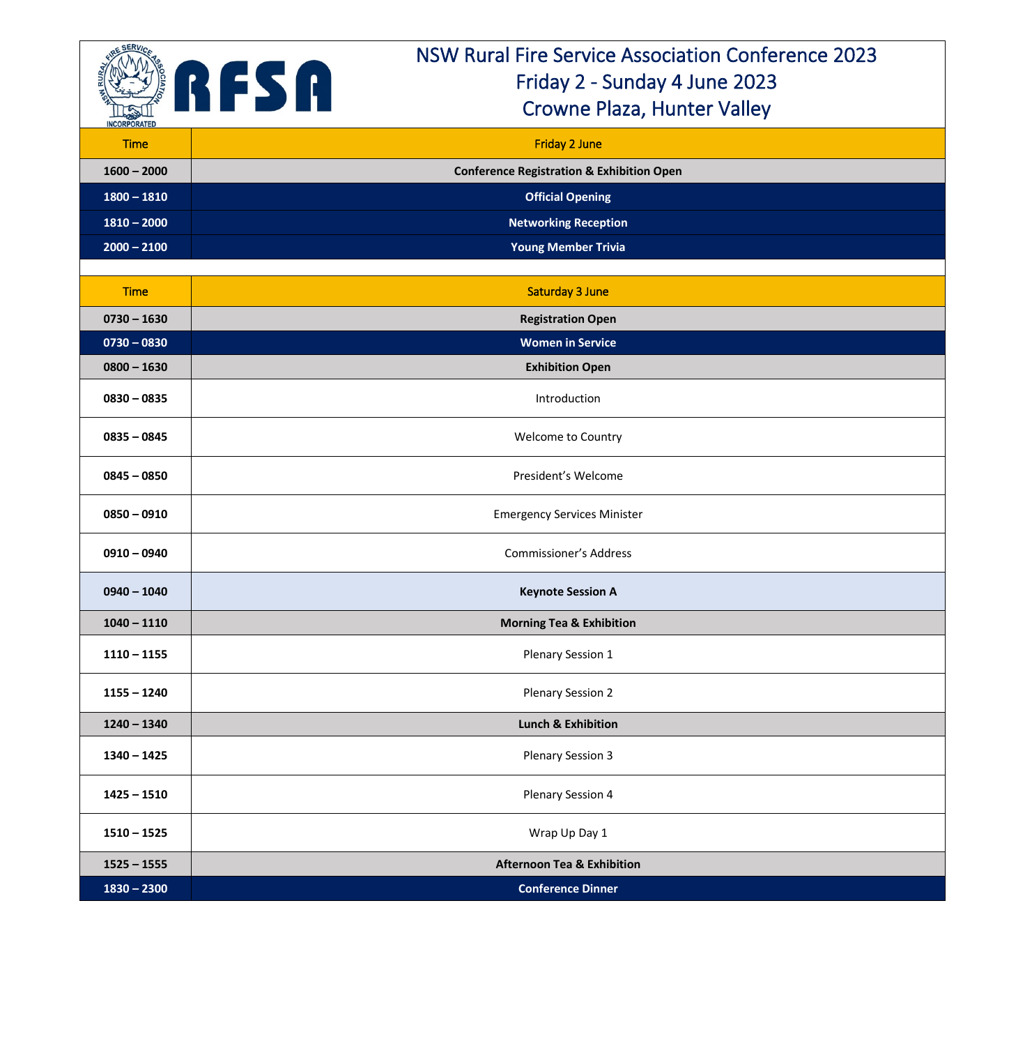

## NSW Rural Fire Service Association Conference 2023 Friday 2 - Sunday 4 June 2023 Crowne Plaza, Hunter Valley

| <b>Time</b>   | <b>Friday 2 June</b>                                 |
|---------------|------------------------------------------------------|
| $1600 - 2000$ | <b>Conference Registration &amp; Exhibition Open</b> |
| $1800 - 1810$ | <b>Official Opening</b>                              |
| $1810 - 2000$ | <b>Networking Reception</b>                          |
| $2000 - 2100$ | <b>Young Member Trivia</b>                           |
|               |                                                      |
| <b>Time</b>   | <b>Saturday 3 June</b>                               |
| $0730 - 1630$ | <b>Registration Open</b>                             |
| $0730 - 0830$ | <b>Women in Service</b>                              |
| $0800 - 1630$ | <b>Exhibition Open</b>                               |
| $0830 - 0835$ | Introduction                                         |
| $0835 - 0845$ | Welcome to Country                                   |
| $0845 - 0850$ | President's Welcome                                  |
| $0850 - 0910$ | <b>Emergency Services Minister</b>                   |
| $0910 - 0940$ | <b>Commissioner's Address</b>                        |
| $0940 - 1040$ | <b>Keynote Session A</b>                             |
| $1040 - 1110$ | <b>Morning Tea &amp; Exhibition</b>                  |
| $1110 - 1155$ | <b>Plenary Session 1</b>                             |
| $1155 - 1240$ | Plenary Session 2                                    |
| $1240 - 1340$ | <b>Lunch &amp; Exhibition</b>                        |
| $1340 - 1425$ | <b>Plenary Session 3</b>                             |
| $1425 - 1510$ | <b>Plenary Session 4</b>                             |
| $1510 - 1525$ | Wrap Up Day 1                                        |
| $1525 - 1555$ | <b>Afternoon Tea &amp; Exhibition</b>                |
| $1830 - 2300$ | <b>Conference Dinner</b>                             |